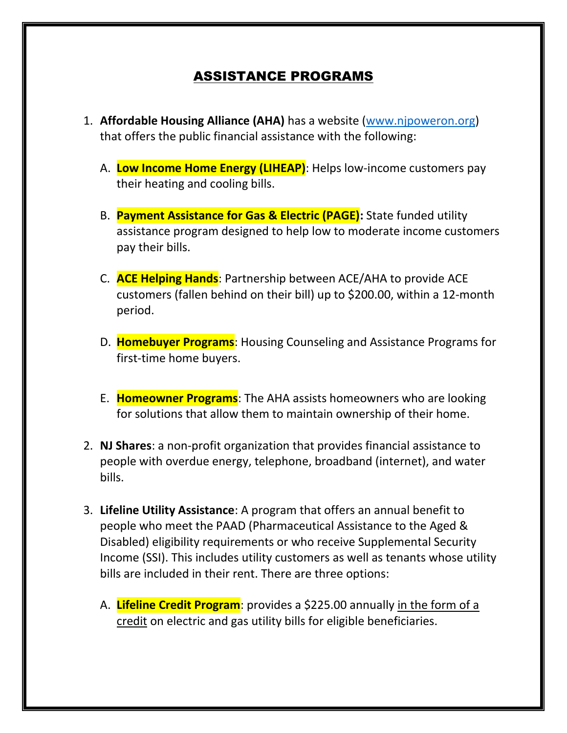## ASSISTANCE PROGRAMS

- 1. **Affordable Housing Alliance (AHA)** has a website [\(www.njpoweron.org\)](http://www.njpoweron.org/) that offers the public financial assistance with the following:
	- A. **Low Income Home Energy (LIHEAP)**: Helps low-income customers pay their heating and cooling bills.
	- B. **Payment Assistance for Gas & Electric (PAGE):** State funded utility assistance program designed to help low to moderate income customers pay their bills.
	- C. **ACE Helping Hands**: Partnership between ACE/AHA to provide ACE customers (fallen behind on their bill) up to \$200.00, within a 12-month period.
	- D. **Homebuyer Programs**: Housing Counseling and Assistance Programs for first-time home buyers.
	- E. **Homeowner Programs**: The AHA assists homeowners who are looking for solutions that allow them to maintain ownership of their home.
- 2. **NJ Shares**: a non-profit organization that provides financial assistance to people with overdue energy, telephone, broadband (internet), and water bills.
- 3. **Lifeline Utility Assistance**: A program that offers an annual benefit to people who meet the PAAD (Pharmaceutical Assistance to the Aged & Disabled) eligibility requirements or who receive Supplemental Security Income (SSI). This includes utility customers as well as tenants whose utility bills are included in their rent. There are three options:
	- A. **Lifeline Credit Program**: provides a \$225.00 annually in the form of a credit on electric and gas utility bills for eligible beneficiaries.